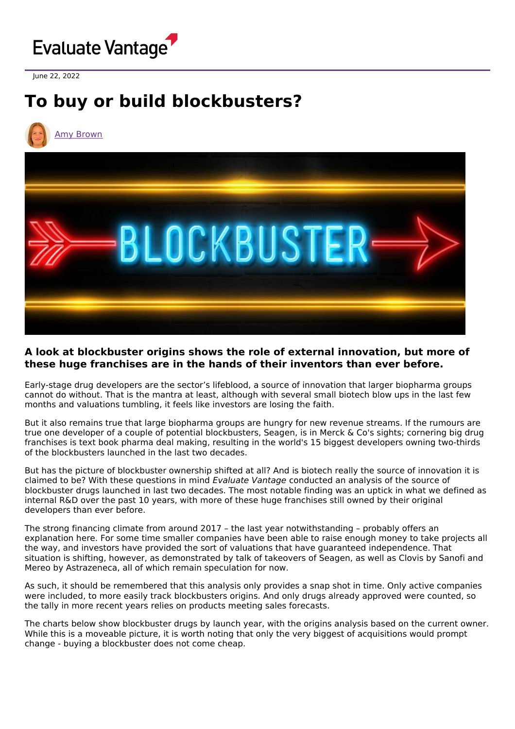

June 22, 2022

# **To buy or build blockbusters?**



#### **A look at blockbuster origins shows the role of external innovation, but more of these huge franchises are in the hands of their inventors than ever before.**

Early-stage drug developers are the sector's lifeblood, a source of innovation that larger biopharma groups cannot do without. That is the mantra at least, although with several small biotech blow ups in the last few months and valuations tumbling, it feels like investors are losing the faith.

But it also remains true that large biopharma groups are hungry for new revenue streams. If the rumours are true one developer of a couple of potential blockbusters, Seagen, is in Merck & Co's sights; cornering big drug franchises is text book pharma deal making, resulting in the world's 15 biggest developers owning two-thirds of the blockbusters launched in the last two decades.

But has the picture of blockbuster ownership shifted at all? And is biotech really the source of innovation it is claimed to be? With these questions in mind Evaluate Vantage conducted an analysis of the source of blockbuster drugs launched in last two decades. The most notable finding was an uptick in what we defined as internal R&D over the past 10 years, with more of these huge franchises still owned by their original developers than ever before.

The strong financing climate from around 2017 – the last year notwithstanding – probably offers an explanation here. For some time smaller companies have been able to raise enough money to take projects all the way, and investors have provided the sort of valuations that have guaranteed independence. That situation is shifting, however, as demonstrated by talk of takeovers of Seagen, as well as Clovis by Sanofi and Mereo by Astrazeneca, all of which remain speculation for now.

As such, it should be remembered that this analysis only provides a snap shot in time. Only active companies were included, to more easily track blockbusters origins. And only drugs already approved were counted, so the tally in more recent years relies on products meeting sales forecasts.

The charts below show blockbuster drugs by launch year, with the origins analysis based on the current owner. While this is a moveable picture, it is worth noting that only the very biggest of acquisitions would prompt change - buying a blockbuster does not come cheap.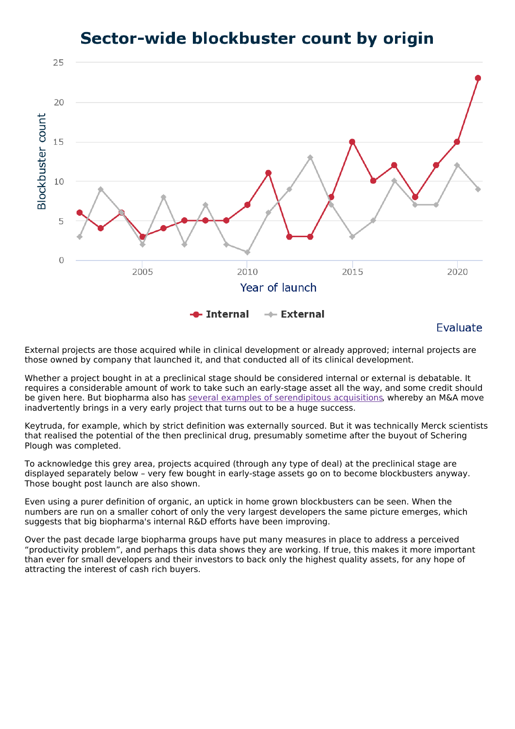### Sector-wide blockbuster count by origin



### Evaluate

External projects are those acquired while in clinical development or already approved; internal projects are those owned by company that launched it, and that conducted all of its clinical development.

Whether a project bought in at a preclinical stage should be considered internal or external is debatable. It requires a considerable amount of work to take such an early-stage asset all the way, and some credit should be given here. But biopharma also has several examples of [serendipitous](https://www.evaluate.com/vantage/articles/data-insights/other-data/uncovering-biopharmas-hidden-treasures) acquisitions, whereby an M&A move inadvertently brings in a very early project that turns out to be a huge success.

Keytruda, for example, which by strict definition was externally sourced. But it was technically Merck scientists that realised the potential of the then preclinical drug, presumably sometime after the buyout of Schering Plough was completed.

To acknowledge this grey area, projects acquired (through any type of deal) at the preclinical stage are displayed separately below – very few bought in early-stage assets go on to become blockbusters anyway. Those bought post launch are also shown.

Even using a purer definition of organic, an uptick in home grown blockbusters can be seen. When the numbers are run on a smaller cohort of only the very largest developers the same picture emerges, which suggests that big biopharma's internal R&D efforts have been improving.

Over the past decade large biopharma groups have put many measures in place to address a perceived "productivity problem", and perhaps this data shows they are working. If true, this makes it more important than ever for small developers and their investors to back only the highest quality assets, for any hope of attracting the interest of cash rich buyers.